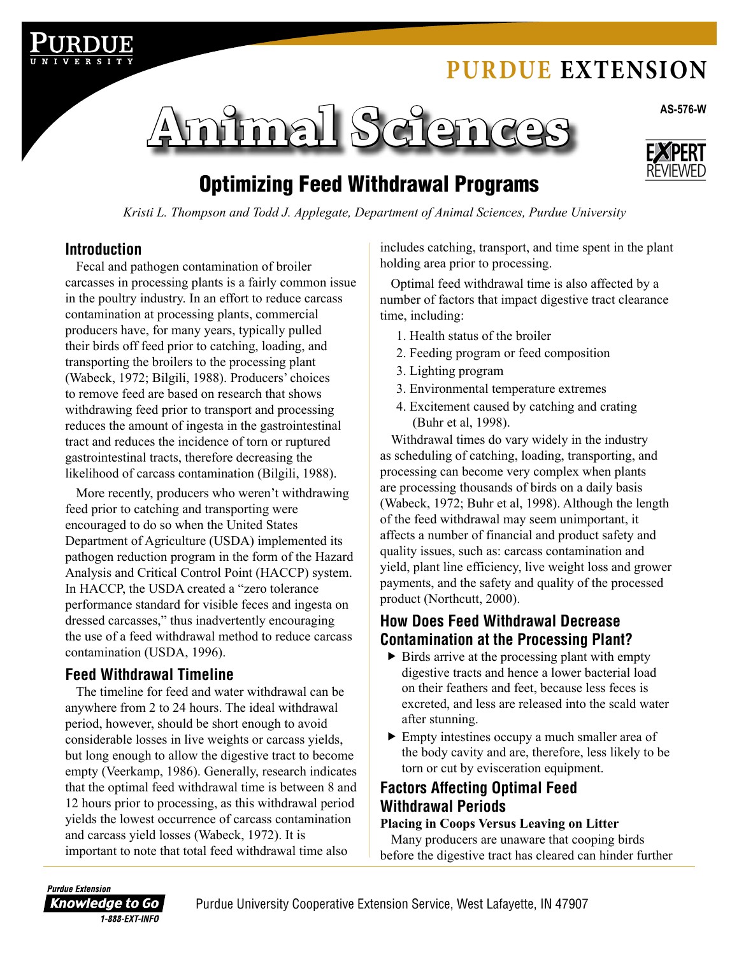# **Purdue [Extension](http://www.extension.purdue.edu)**





# Optimizing Feed Withdrawal Programs

*Kristi L. Thompson and Todd J. Applegate, Department of Animal Sciences, Purdue University*

#### **Introduction**

Fecal and pathogen contamination of broiler carcasses in processing plants is a fairly common issue in the poultry industry. In an effort to reduce carcass contamination at processing plants, commercial producers have, for many years, typically pulled their birds off feed prior to catching, loading, and transporting the broilers to the processing plant (Wabeck, 1972; Bilgili, 1988). Producers' choices to remove feed are based on research that shows withdrawing feed prior to transport and processing reduces the amount of ingesta in the gastrointestinal tract and reduces the incidence of torn or ruptured gastrointestinal tracts, therefore decreasing the likelihood of carcass contamination (Bilgili, 1988).

More recently, producers who weren't withdrawing feed prior to catching and transporting were encouraged to do so when the United States Department of Agriculture (USDA) implemented its pathogen reduction program in the form of the Hazard Analysis and Critical Control Point (HACCP) system. In HACCP, the USDA created a "zero tolerance performance standard for visible feces and ingesta on dressed carcasses," thus inadvertently encouraging the use of a feed withdrawal method to reduce carcass contamination (USDA, 1996).

#### **Feed Withdrawal Timeline**

The timeline for feed and water withdrawal can be anywhere from 2 to 24 hours. The ideal withdrawal period, however, should be short enough to avoid considerable losses in live weights or carcass yields, but long enough to allow the digestive tract to become empty (Veerkamp, 1986). Generally, research indicates that the optimal feed withdrawal time is between 8 and 12 hours prior to processing, as this withdrawal period yields the lowest occurrence of carcass contamination and carcass yield losses (Wabeck, 1972). It is important to note that total feed withdrawal time also

includes catching, transport, and time spent in the plant holding area prior to processing.

Optimal feed withdrawal time is also affected by a number of factors that impact digestive tract clearance time, including:

- 1. Health status of the broiler
- 2. Feeding program or feed composition
- 3. Lighting program
- 3. Environmental temperature extremes
- 4. Excitement caused by catching and crating (Buhr et al, 1998).

Withdrawal times do vary widely in the industry as scheduling of catching, loading, transporting, and processing can become very complex when plants are processing thousands of birds on a daily basis (Wabeck, 1972; Buhr et al, 1998). Although the length of the feed withdrawal may seem unimportant, it affects a number of financial and product safety and quality issues, such as: carcass contamination and yield, plant line efficiency, live weight loss and grower payments, and the safety and quality of the processed product (Northcutt, 2000).

#### **How Does Feed Withdrawal Decrease Contamination at the Processing Plant?**

- $\triangleright$  Birds arrive at the processing plant with empty digestive tracts and hence a lower bacterial load on their feathers and feet, because less feces is excreted, and less are released into the scald water after stunning.
- Empty intestines occupy a much smaller area of the body cavity and are, therefore, less likely to be torn or cut by evisceration equipment.

#### **Factors Affecting Optimal Feed Withdrawal Periods**

#### **Placing in Coops Versus Leaving on Litter**

Many producers are unaware that cooping birds before the digestive tract has cleared can hinder further

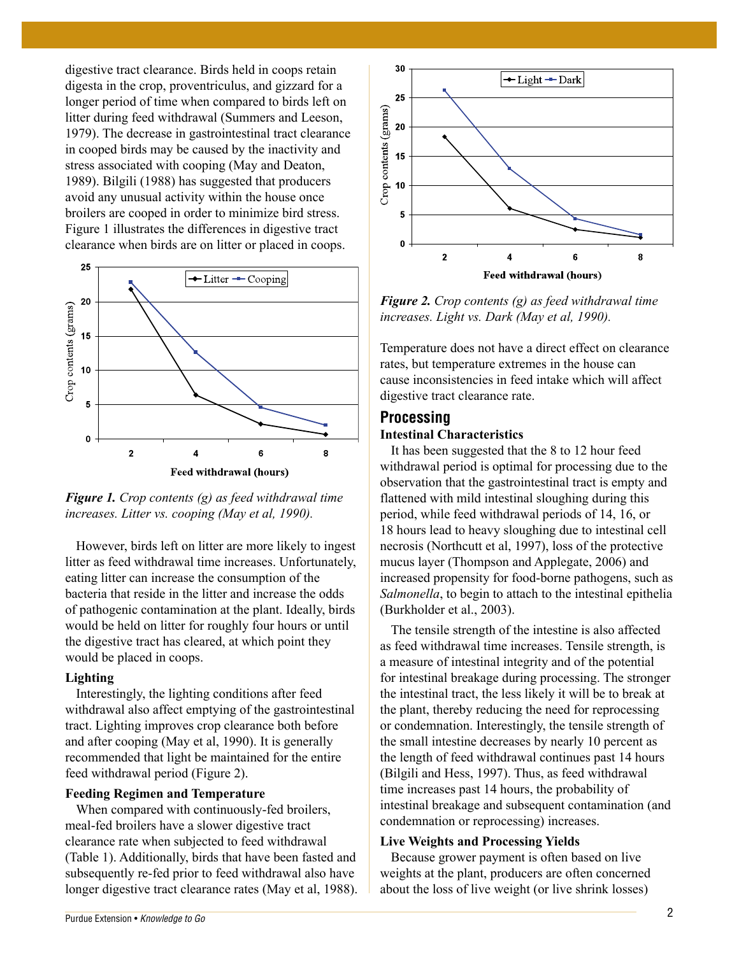digestive tract clearance. Birds held in coops retain digesta in the crop, proventriculus, and gizzard for a longer period of time when compared to birds left on litter during feed withdrawal (Summers and Leeson, 1979). The decrease in gastrointestinal tract clearance in cooped birds may be caused by the inactivity and stress associated with cooping (May and Deaton, 1989). Bilgili (1988) has suggested that producers avoid any unusual activity within the house once broilers are cooped in order to minimize bird stress. Figure 1 illustrates the differences in digestive tract clearance when birds are on litter or placed in coops.



*Figure 1. Crop contents (g) as feed withdrawal time increases. Litter vs. cooping (May et al, 1990).*

However, birds left on litter are more likely to ingest litter as feed withdrawal time increases. Unfortunately, eating litter can increase the consumption of the bacteria that reside in the litter and increase the odds of pathogenic contamination at the plant. Ideally, birds would be held on litter for roughly four hours or until the digestive tract has cleared, at which point they would be placed in coops.

#### **Lighting**

Interestingly, the lighting conditions after feed withdrawal also affect emptying of the gastrointestinal tract. Lighting improves crop clearance both before and after cooping (May et al, 1990). It is generally recommended that light be maintained for the entire feed withdrawal period (Figure 2).

#### **Feeding Regimen and Temperature**

When compared with continuously-fed broilers, meal-fed broilers have a slower digestive tract clearance rate when subjected to feed withdrawal (Table 1). Additionally, birds that have been fasted and subsequently re-fed prior to feed withdrawal also have longer digestive tract clearance rates (May et al, 1988).



*Figure 2. Crop contents (g) as feed withdrawal time increases. Light vs. Dark (May et al, 1990).*

Temperature does not have a direct effect on clearance rates, but temperature extremes in the house can cause inconsistencies in feed intake which will affect digestive tract clearance rate.

#### **Processing**

#### **Intestinal Characteristics**

It has been suggested that the 8 to 12 hour feed withdrawal period is optimal for processing due to the observation that the gastrointestinal tract is empty and flattened with mild intestinal sloughing during this period, while feed withdrawal periods of 14, 16, or 18 hours lead to heavy sloughing due to intestinal cell necrosis (Northcutt et al, 1997), loss of the protective mucus layer (Thompson and Applegate, 2006) and increased propensity for food-borne pathogens, such as *Salmonella*, to begin to attach to the intestinal epithelia (Burkholder et al., 2003).

The tensile strength of the intestine is also affected as feed withdrawal time increases. Tensile strength, is a measure of intestinal integrity and of the potential for intestinal breakage during processing. The stronger the intestinal tract, the less likely it will be to break at the plant, thereby reducing the need for reprocessing or condemnation. Interestingly, the tensile strength of the small intestine decreases by nearly 10 percent as the length of feed withdrawal continues past 14 hours (Bilgili and Hess, 1997). Thus, as feed withdrawal time increases past 14 hours, the probability of intestinal breakage and subsequent contamination (and condemnation or reprocessing) increases.

#### **Live Weights and Processing Yields**

Because grower payment is often based on live weights at the plant, producers are often concerned about the loss of live weight (or live shrink losses)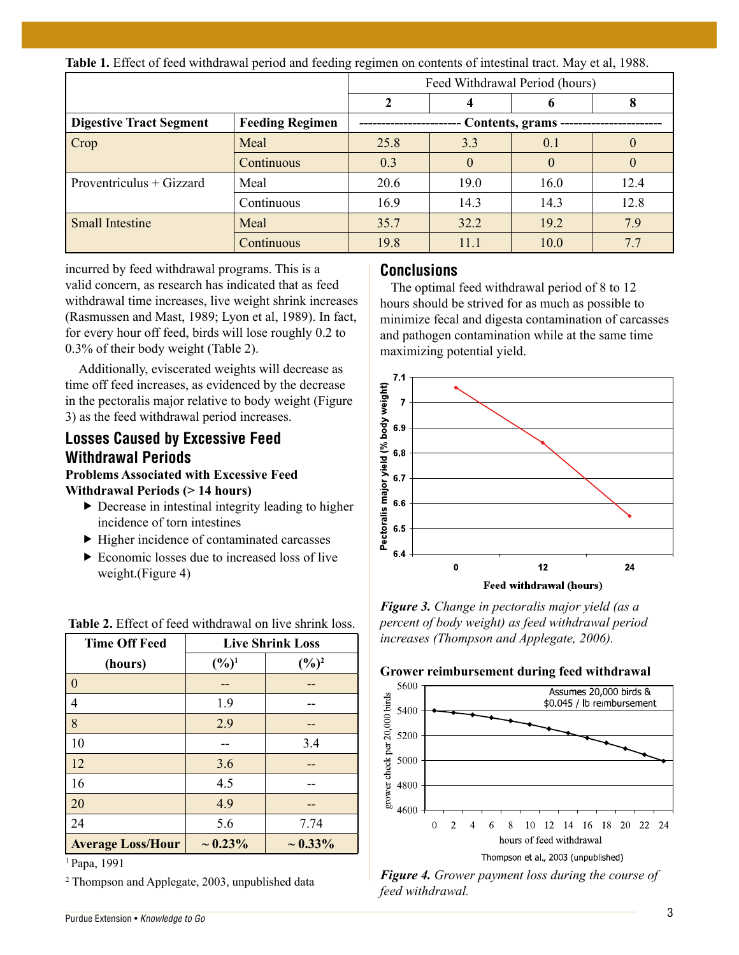**Table 1.** Effect of feed withdrawal period and feeding regimen on contents of intestinal tract. May et al, 1988.

|                                |                        | Feed Withdrawal Period (hours) |          |          |          |
|--------------------------------|------------------------|--------------------------------|----------|----------|----------|
|                                |                        |                                |          |          |          |
| <b>Digestive Tract Segment</b> | <b>Feeding Regimen</b> | Contents, grams -              |          |          |          |
| Crop                           | Meal                   | 25.8                           | 3.3      | 0.1      | $\Omega$ |
|                                | Continuous             | 0.3                            | $\theta$ | $\theta$ | $\theta$ |
| Proventriculus + Gizzard       | Meal                   | 20.6                           | 19.0     | 16.0     | 12.4     |
|                                | Continuous             | 16.9                           | 14.3     | 14.3     | 12.8     |
| <b>Small Intestine</b>         | Meal                   | 35.7                           | 32.2     | 19.2     | 7.9      |
|                                | Continuous             | 19.8                           | 11.1     | 10.0     | 7.7      |

incurred by feed withdrawal programs. This is a valid concern, as research has indicated that as feed withdrawal time increases, live weight shrink increases (Rasmussen and Mast, 1989; Lyon et al, 1989). In fact, for every hour off feed, birds will lose roughly 0.2 to 0.3% of their body weight (Table 2).

 Additionally, eviscerated weights will decrease as time off feed increases, as evidenced by the decrease in the pectoralis major relative to body weight (Figure 3) as the feed withdrawal period increases.

### **Losses Caused by Excessive Feed Withdrawal Periods**

**Problems Associated with Excessive Feed** 

- **Withdrawal Periods (> 14 hours)**
	- Decrease in intestinal integrity leading to higher incidence of torn intestines
	- $\blacktriangleright$  Higher incidence of contaminated carcasses
	- ▶ Economic losses due to increased loss of live weight.(Figure 4)

| <b>Time Off Feed</b>     | <b>Live Shrink Loss</b> |                   |  |
|--------------------------|-------------------------|-------------------|--|
| (hours)                  | $(\frac{6}{9})^1$       | $(\frac{6}{6})^2$ |  |
| $\vert 0$                |                         |                   |  |
| $\vert 4$                | 1.9                     |                   |  |
| $\vert 8$                | 2.9                     |                   |  |
| 10                       |                         | 3.4               |  |
| $\vert$ 12               | 3.6                     |                   |  |
| 16                       | 4.5                     |                   |  |
| 20                       | 4.9                     |                   |  |
| 24                       | 5.6                     | 7.74              |  |
| <b>Average Loss/Hour</b> | $\sim 0.23\%$           | $\sim 0.33\%$     |  |

 **Table 2.** Effect of feed withdrawal on live shrink loss.

#### 1 Papa, 1991

2 Thompson and Applegate, 2003, unpublished data

#### **Conclusions**

The optimal feed withdrawal period of 8 to 12 hours should be strived for as much as possible to minimize fecal and digesta contamination of carcasses and pathogen contamination while at the same time maximizing potential yield.



*Figure 3. Change in pectoralis major yield (as a percent of body weight) as feed withdrawal period increases (Thompson and Applegate, 2006).*



*Figure 4. Grower payment loss during the course of feed withdrawal.*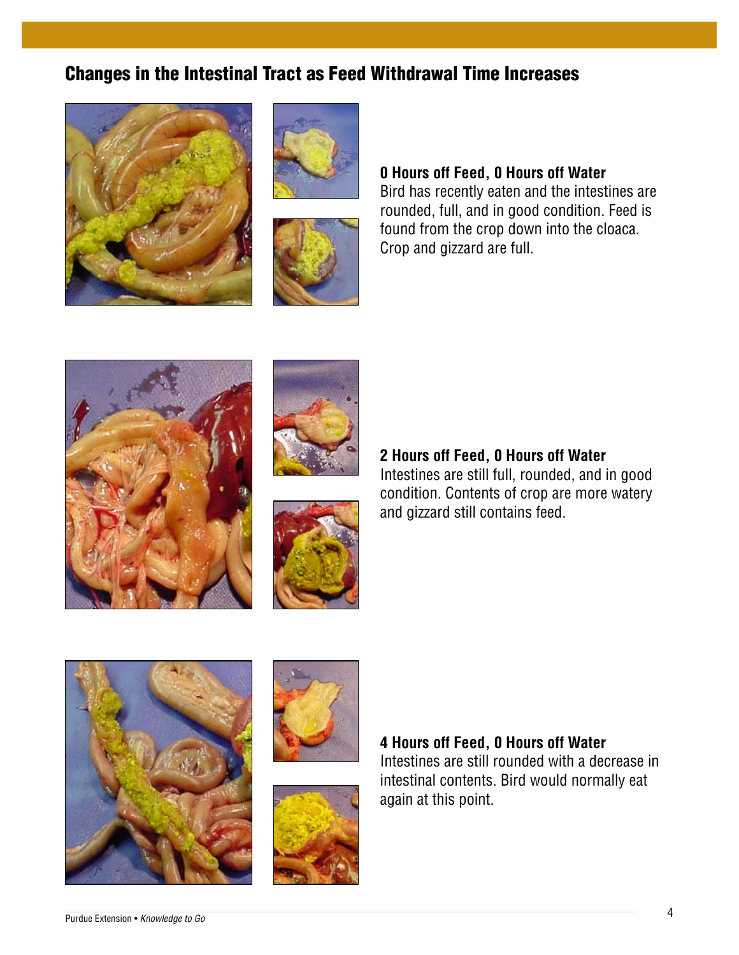#### **Changes in the Intestinal Tract as Feed Withdrawal Time Increases** intestines are rounded, full, and in good **Changes in the Intestinal Tract as Feed**

**Changes in the Intestinal Tract as Feed** 

**Changes in the Intestinal Tract as Feed** 

**Changes in the Intestinal Tract as Feed** 



**Changes in the Intestinal Tract as Feed** 

**Withdrawal Time Increases**





#### **0 Hours off Feed, 0 Hours off Water** U HOUrs off Feed, U HOUrs off Water<br>Direktor was released in good the integrity of the S U HOUrs Off Feed, U HOUrs Off Water<br>Direktor records actor and the intertional and Bird has recently eaten and the **0 Hours off Feed, 0 Hours off Water 0 Hours off Feed, 0 Hours off Water 0 Hours off Feed, 0 Hours off Water**

**0 Hours off Feed, 0 Hours off Water**

**interesting the interesting of the contract of the contract of the intestines are in good in good in good in good in good in the intestines are** blid has recently eater and the intestines are<br>rounded, full, and in good condition. Feed is found from the crop down into the cloaca. Crop and gizzard are full. **2 And The Feeding Street Section** Crop and gizzard are full.





#### **2 Hours off Feed, 0 Hours off Water**

Intestines are still full, rounded, and in good condition. Contents of crop are more watery and gizzard still contains feed.







#### **4 Hours off Feed, 0 Hours off Water**

Intestines are still rounded with a decrease in intestinal contents. Bird would normally eat again at this point.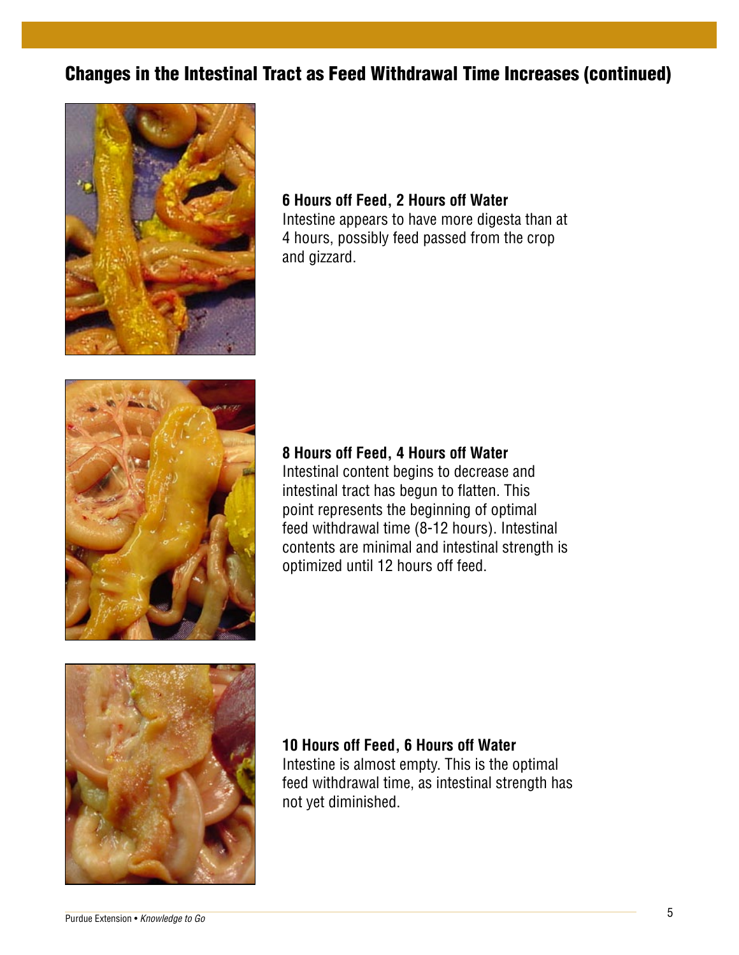### Changes in the Intestinal Tract as Feed Withdrawal Time Increases (continued)



#### **6 Hours off Feed, 2 Hours off Water** Intestine appears to have more digesta than at 4 hours, possibly feed passed from the crop and gizzard.  $\ddot{\phantom{a}}$



### **8 Hours off Feed, 4 Hours off Water**

Intestinal content begins to decrease and intestinal tract has begun to flatten. This<br>no interaccepts the beginning of actives point represents the beginning of optimal point represents the beginning of optimal ponit represents the beginning or optimal<br>feed withdrawal time (8-12 hours). Intestinal reed withdrawal time (o-12 hours). Intestinal<br>contents are minimal and intestinal strength is optimized until 12 hours off feed. 12 hours off feed.



**10 Hours off Feed, 6 Hours off Water** Intestine is almost empty. This is the optimal strength has not almost empty. This is the optimal feed withdrawal time, as intestinal strength has not yet diminished.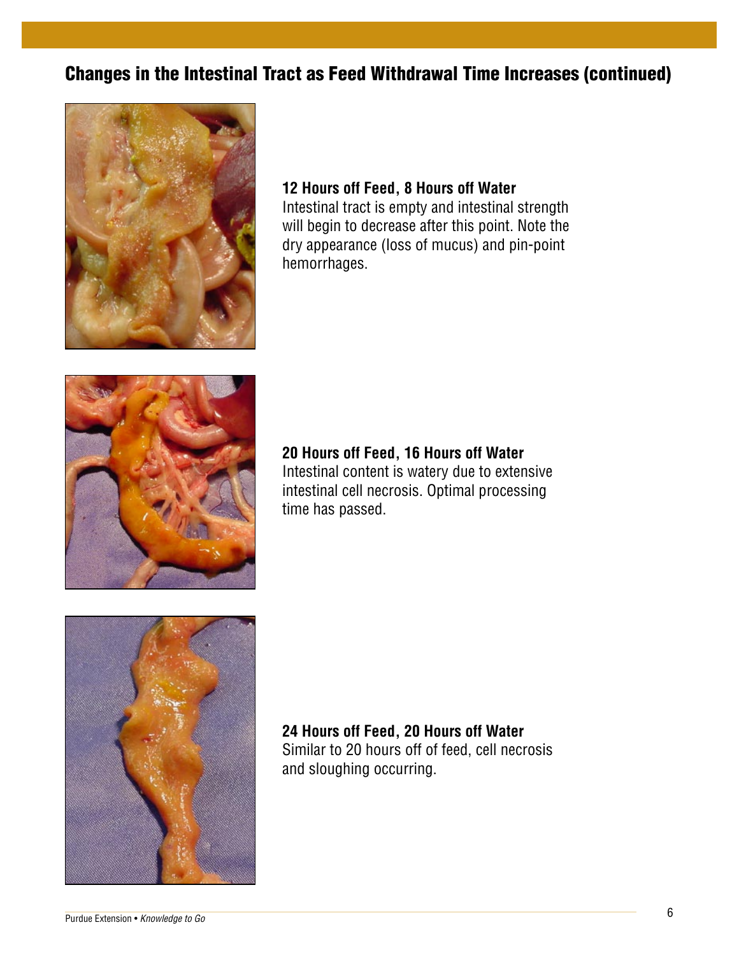### <u>reat oo Food Withdrowal Time Ineresses (com</u> Changes in the Intestinal Tract as Feed Withdrawal Time Increases (continued)<br>



### **12 Hours off Feed, 8 Hours off Water**

Intestinal tract is empty and intestinal strength will begin to decrease after this point. Note the dry appearance (loss of mucus) and pin-point hemorrhages.



**20 Hours off Feed, 16 Hours off Water 20 Hours off Feed, 16 Hours off Water**  Intestinal content is watery due to extensive Intestinal content is watery due to extensive intestinal cell necrosis. Optimal processing time has passed. passed.  $\alpha$ intestinal processing time has been processing time has been processing time has been processing time has been processing time has been processing time has been processing time has been processing time has been proces ZU HOU<br>منابع



24 Hours off Feed, 20 Hours off Water<br>Qimilanta 20 hours off of feed, all proposite Similar to 20 hours off of feed, cell necrosis and sloughing occurring. Similar to 20 hours off of feed, cell necrosis and sloughing occurring.